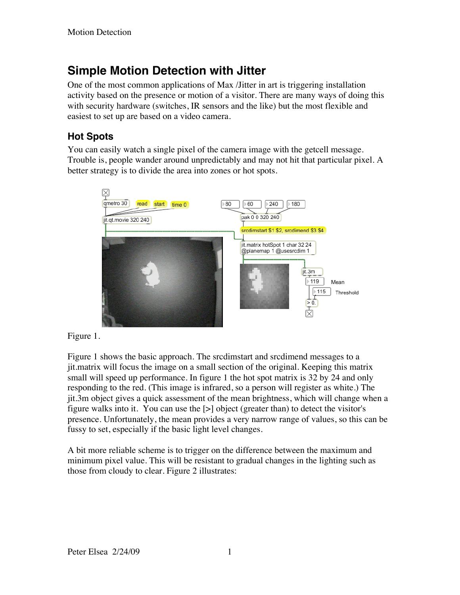# **Simple Motion Detection with Jitter**

One of the most common applications of Max /Jitter in art is triggering installation activity based on the presence or motion of a visitor. There are many ways of doing this with security hardware (switches, IR sensors and the like) but the most flexible and easiest to set up are based on a video camera.

## **Hot Spots**

You can easily watch a single pixel of the camera image with the getcell message. Trouble is, people wander around unpredictably and may not hit that particular pixel. A better strategy is to divide the area into zones or hot spots.



Figure 1.

Figure 1 shows the basic approach. The srcdimstart and srcdimend messages to a jit.matrix will focus the image on a small section of the original. Keeping this matrix small will speed up performance. In figure 1 the hot spot matrix is 32 by 24 and only responding to the red. (This image is infrared, so a person will register as white.) The jit.3m object gives a quick assessment of the mean brightness, which will change when a figure walks into it. You can use the [>] object (greater than) to detect the visitor's presence. Unfortunately, the mean provides a very narrow range of values, so this can be fussy to set, especially if the basic light level changes.

A bit more reliable scheme is to trigger on the difference between the maximum and minimum pixel value. This will be resistant to gradual changes in the lighting such as those from cloudy to clear. Figure 2 illustrates: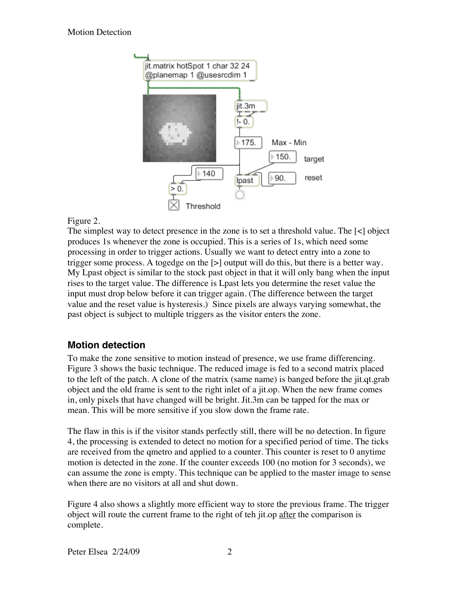

### Figure 2.

The simplest way to detect presence in the zone is to set a threshold value. The [<] object produces 1s whenever the zone is occupied. This is a series of 1s, which need some processing in order to trigger actions. Usually we want to detect entry into a zone to trigger some process. A togedge on the [>] output will do this, but there is a better way. My Lpast object is similar to the stock past object in that it will only bang when the input rises to the target value. The difference is Lpast lets you determine the reset value the input must drop below before it can trigger again. (The difference between the target value and the reset value is hysteresis.) Since pixels are always varying somewhat, the past object is subject to multiple triggers as the visitor enters the zone.

## **Motion detection**

To make the zone sensitive to motion instead of presence, we use frame differencing. Figure 3 shows the basic technique. The reduced image is fed to a second matrix placed to the left of the patch. A clone of the matrix (same name) is banged before the jit.qt.grab object and the old frame is sent to the right inlet of a jit.op. When the new frame comes in, only pixels that have changed will be bright. Jit.3m can be tapped for the max or mean. This will be more sensitive if you slow down the frame rate.

The flaw in this is if the visitor stands perfectly still, there will be no detection. In figure 4, the processing is extended to detect no motion for a specified period of time. The ticks are received from the qmetro and applied to a counter. This counter is reset to 0 anytime motion is detected in the zone. If the counter exceeds 100 (no motion for 3 seconds), we can assume the zone is empty. This technique can be applied to the master image to sense when there are no visitors at all and shut down.

Figure 4 also shows a slightly more efficient way to store the previous frame. The trigger object will route the current frame to the right of teh jit.op after the comparison is complete.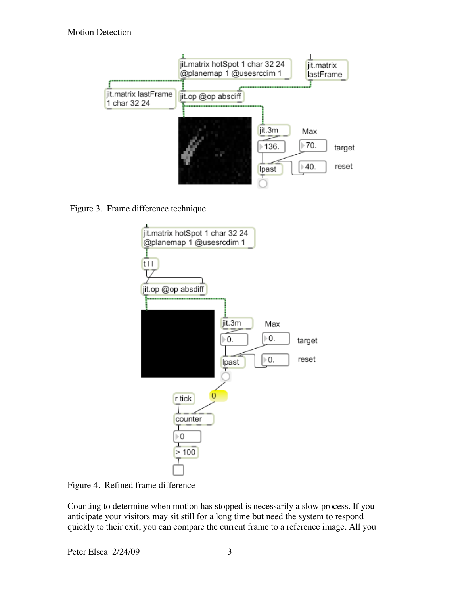

Figure 3. Frame difference technique



Figure 4. Refined frame difference

Counting to determine when motion has stopped is necessarily a slow process. If you anticipate your visitors may sit still for a long time but need the system to respond quickly to their exit, you can compare the current frame to a reference image. All you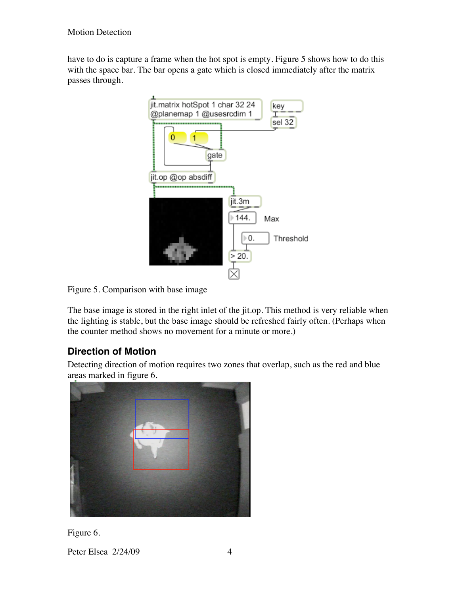have to do is capture a frame when the hot spot is empty. Figure 5 shows how to do this with the space bar. The bar opens a gate which is closed immediately after the matrix passes through.



Figure 5. Comparison with base image

The base image is stored in the right inlet of the jit.op. This method is very reliable when the lighting is stable, but the base image should be refreshed fairly often. (Perhaps when the counter method shows no movement for a minute or more.)

## **Direction of Motion**

Detecting direction of motion requires two zones that overlap, such as the red and blue areas marked in figure 6.



Figure 6.

Peter Elsea 2/24/09 4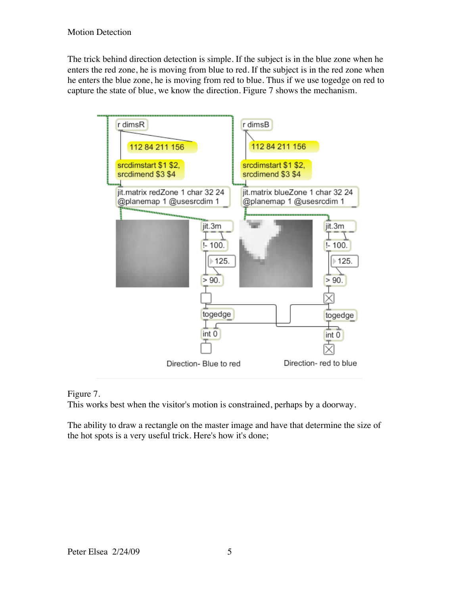The trick behind direction detection is simple. If the subject is in the blue zone when he enters the red zone, he is moving from blue to red. If the subject is in the red zone when he enters the blue zone, he is moving from red to blue. Thus if we use togedge on red to capture the state of blue, we know the direction. Figure 7 shows the mechanism.



#### Figure 7.

This works best when the visitor's motion is constrained, perhaps by a doorway.

The ability to draw a rectangle on the master image and have that determine the size of the hot spots is a very useful trick. Here's how it's done;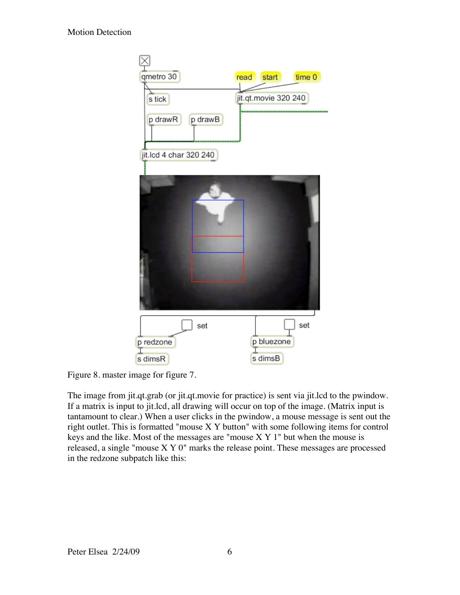

Figure 8. master image for figure 7.

The image from jit.qt.grab (or jit.qt.movie for practice) is sent via jit.lcd to the pwindow. If a matrix is input to jit.lcd, all drawing will occur on top of the image. (Matrix input is tantamount to clear.) When a user clicks in the pwindow, a mouse message is sent out the right outlet. This is formatted "mouse X Y button" with some following items for control keys and the like. Most of the messages are "mouse  $X Y 1$ " but when the mouse is released, a single "mouse X Y 0" marks the release point. These messages are processed in the redzone subpatch like this: